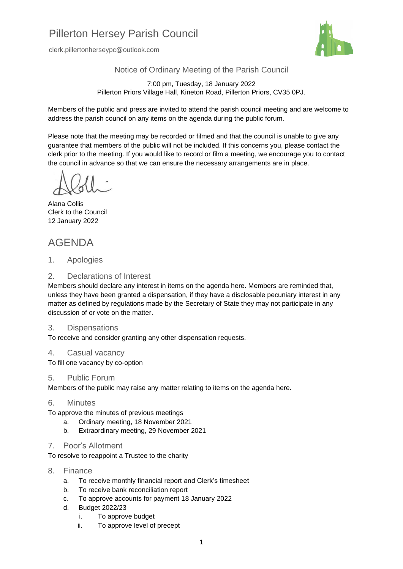# Pillerton Hersey Parish Council

clerk.pillertonherseypc@outlook.com



Notice of Ordinary Meeting of the Parish Council

7:00 pm, Tuesday, 18 January 2022 Pillerton Priors Village Hall, Kineton Road, Pillerton Priors, CV35 0PJ.

Members of the public and press are invited to attend the parish council meeting and are welcome to address the parish council on any items on the agenda during the public forum.

Please note that the meeting may be recorded or filmed and that the council is unable to give any guarantee that members of the public will not be included. If this concerns you, please contact the clerk prior to the meeting. If you would like to record or film a meeting, we encourage you to contact the council in advance so that we can ensure the necessary arrangements are in place.

Alana Collis Clerk to the Council 12 January 2022

# AGENDA

1. Apologies

#### 2. Declarations of Interest

Members should declare any interest in items on the agenda here. Members are reminded that, unless they have been granted a dispensation, if they have a disclosable pecuniary interest in any matter as defined by regulations made by the Secretary of State they may not participate in any discussion of or vote on the matter.

#### 3. Dispensations

To receive and consider granting any other dispensation requests.

#### 4. Casual vacancy

To fill one vacancy by co-option

#### 5. Public Forum

Members of the public may raise any matter relating to items on the agenda here.

#### 6. Minutes

- To approve the minutes of previous meetings
	- a. Ordinary meeting, 18 November 2021
	- b. Extraordinary meeting, 29 November 2021

#### 7. Poor's Allotment

To resolve to reappoint a Trustee to the charity

- 8. Finance
	- a. To receive monthly financial report and Clerk's timesheet
	- b. To receive bank reconciliation report
	- c. To approve accounts for payment 18 January 2022
	- d. Budget 2022/23
		- i. To approve budget
		- ii. To approve level of precept